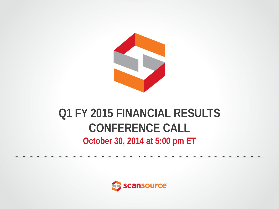

#### **Q1 FY 2015 FINANCIAL RESULTS CONFERENCE CALL October 30, 2014 at 5:00 pm ET**

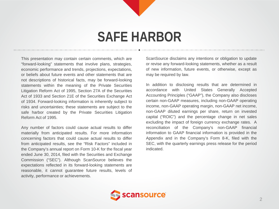# **SAFE HARBOR**

This presentation may contain certain comments, which are "forward-looking" statements that involve plans, strategies, economic performance and trends, projections, expectations, or beliefs about future events and other statements that are not descriptions of historical facts, may be forward-looking statements within the meaning of the Private Securities Litigation Reform Act of 1995, Section 27A of the Securities Act of 1933 and Section 21E of the Securities Exchange Act of 1934. Forward-looking information is inherently subject to risks and uncertainties; these statements are subject to the safe harbor created by the Private Securities Litigation Reform Act of 1995.

Any number of factors could cause actual results to differ materially from anticipated results. For more information concerning factors that could cause actual results to differ from anticipated results, see the "Risk Factors" included in the Company's annual report on Form 10-K for the fiscal year ended June 30, 2014, filed with the Securities and Exchange Commission ("SEC"). Although ScanSource believes the expectations reflected in its forward-looking statements are reasonable, it cannot guarantee future results, levels of activity, performance or achievements.

ScanSource disclaims any intentions or obligation to update or revise any forward-looking statements, whether as a result of new information, future events, or otherwise, except as may be required by law.

In addition to disclosing results that are determined in accordance with United States Generally Accepted Accounting Principles ("GAAP"), the Company also discloses certain non-GAAP measures, including non-GAAP operating income, non-GAAP operating margin, non-GAAP net income, non-GAAP diluted earnings per share, return on invested capital ("ROIC") and the percentage change in net sales excluding the impact of foreign currency exchange rates. A reconciliation of the Company's non-GAAP financial information to GAAP financial information is provided in the Appendix and in the Company's Form 8-K, filed with the SEC, with the quarterly earnings press release for the period indicated.

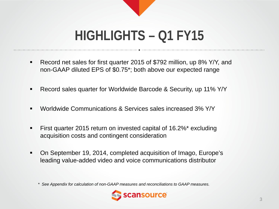

# **HIGHLIGHTS – Q1 FY15**

- Record net sales for first quarter 2015 of \$792 million, up 8% Y/Y, and non-GAAP diluted EPS of \$0.75\*; both above our expected range
- Record sales quarter for Worldwide Barcode & Security, up 11% Y/Y
- Worldwide Communications & Services sales increased 3% Y/Y
- **First quarter 2015 return on invested capital of 16.2%\* excluding** acquisition costs and contingent consideration
- On September 19, 2014, completed acquisition of Imago, Europe's leading value-added video and voice communications distributor

*\* See Appendix for calculation of non-GAAP measures and reconciliations to GAAP measures.*

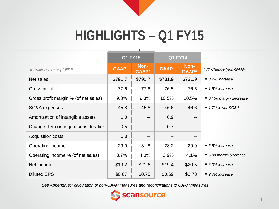

# **HIGHLIGHTS – Q1 FY15**

|                                      | <b>Q1 FY15</b> |                      | <b>Q1 FY14</b>    |                        |                                |  |  |
|--------------------------------------|----------------|----------------------|-------------------|------------------------|--------------------------------|--|--|
| In millions, except EPS              | <b>GAAP</b>    | Non-<br><b>GAAP*</b> | <b>GAAP</b>       | Non-<br><b>GAAP</b> *  | Y/Y Change (non-GAAP):         |  |  |
| Net sales                            | \$791.7        | \$791.7              | \$731.9           | \$731.9                | ■ 8.2% increase                |  |  |
| Gross profit                         | 77.6           | 77.6                 | 76.5              | 76.5                   | $\blacksquare$ 1.5% increase   |  |  |
| Gross profit margin % (of net sales) | 9.8%           | 9.8%                 | 10.5%             | 10.5%                  | 64 bp margin decrease          |  |  |
| SG&A expenses                        | 45.8           | 45.8                 | 46.6              | 46.6                   | $\blacksquare$ 1.7% lower SG&A |  |  |
| Amortization of intangible assets    | 1.0            | $-$                  | 0.9               |                        |                                |  |  |
| Change, FV contingent consideration  | 0.5            | $\qquad \qquad -$    | 0.7               | $-$                    |                                |  |  |
| <b>Acquisition costs</b>             | 1.3            | $\qquad \qquad -$    | $\qquad \qquad -$ | $\qquad \qquad \cdots$ |                                |  |  |
| Operating income                     | 29.0           | 31.8                 | 28.2              | 29.9                   | $\blacksquare$ 6.5% increase   |  |  |
| Operating income % (of net sales)    | 3.7%           | 4.0%                 | 3.9%              | 4.1%                   | 6 bp margin decrease           |  |  |
| Net income                           | \$19.2         | \$21.6               | \$19.4            | \$20.5                 | ■ 5.0% increase                |  |  |
| <b>Diluted EPS</b>                   | \$0.67         | \$0.75               | \$0.69            | \$0.73                 | $\blacksquare$ 2.7% increase   |  |  |

*\* See Appendix for calculation of non-GAAP measures and reconciliations to GAAP measures.*

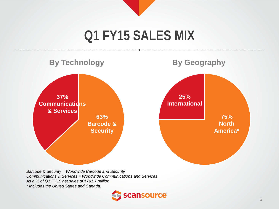

## **Q1 FY15 SALES MIX**



*Barcode & Security = Worldwide Barcode and Security Communications & Services = Worldwide Communications and Services As a % of Q1 FY15 net sales of \$791.7 million \* Includes the United States and Canada.*

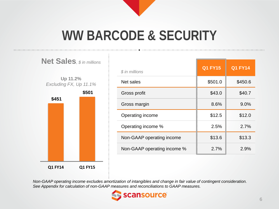

# **WW BARCODE & SECURITY**



| \$ in millions              | <b>Q1 FY15</b> | <b>Q1 FY14</b> |
|-----------------------------|----------------|----------------|
| Net sales                   | \$501.0        | \$450.6        |
| Gross profit                | \$43.0         | \$40.7         |
| Gross margin                | 8.6%           | 9.0%           |
| Operating income            | \$12.5         | \$12.0         |
| Operating income %          | 2.5%           | 2.7%           |
| Non-GAAP operating income   | \$13.6         | \$13.3         |
| Non-GAAP operating income % | 2.7%           | 2.9%           |

*Non-GAAP operating income excludes amortization of intangibles and change in fair value of contingent consideration. See Appendix for calculation of non-GAAP measures and reconciliations to GAAP measures.*

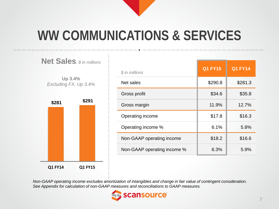

# **WW COMMUNICATIONS & SERVICES**



| \$ in millions              | <b>Q1 FY15</b> | <b>Q1 FY14</b> |
|-----------------------------|----------------|----------------|
| Net sales                   | \$290.8        | \$281.3        |
| Gross profit                | \$34.6         | \$35.8         |
| Gross margin                | 11.9%          | 12.7%          |
| Operating income            | \$17.8         | \$16.3         |
| Operating income %          | 6.1%           | 5.8%           |
| Non-GAAP operating income   | \$18.2         | \$16.6         |
| Non-GAAP operating income % | 6.3%           | 5.9%           |

*Non-GAAP operating income excludes amortization of intangibles and change in fair value of contingent consideration. See Appendix for calculation of non-GAAP measures and reconciliations to GAAP measures.*

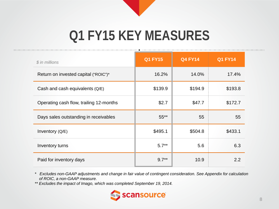

# **Q1 FY15 KEY MEASURES**

| \$ in millions                          | <b>Q1 FY15</b> | <b>Q4 FY14</b> | <b>Q1 FY14</b> |
|-----------------------------------------|----------------|----------------|----------------|
| Return on invested capital ("ROIC")*    | 16.2%          | 14.0%          | 17.4%          |
| Cash and cash equivalents $(Q/E)$       | \$139.9        | \$194.9        | \$193.8        |
| Operating cash flow, trailing 12-months | \$2.7          | \$47.7         | \$172.7        |
| Days sales outstanding in receivables   | $55***$        | 55             | 55             |
| Inventory (Q/E)                         | \$495.1        | \$504.8        | \$433.1        |
| Inventory turns                         | $5.7**$        | 5.6            | 6.3            |
| Paid for inventory days                 | $9.7**$        | 10.9           | 2.2            |

*\* Excludes non-GAAP adjustments and change in fair value of contingent consideration. See Appendix for calculation of ROIC, a non-GAAP measure.*

*\*\* Excludes the impact of Imago, which was completed September 19, 2014.*

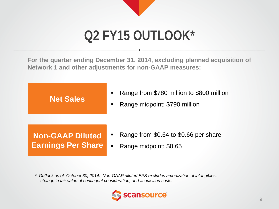# **Q2 FY15 OUTLOOK\***

**For the quarter ending December 31, 2014, excluding planned acquisition of Network 1 and other adjustments for non-GAAP measures:**



*\* Outlook as of October 30, 2014. Non-GAAP diluted EPS excludes amortization of intangibles, change in fair value of contingent consideration, and acquisition costs.*

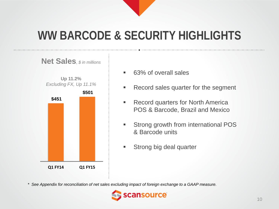

### **WW BARCODE & SECURITY HIGHLIGHTS**



- 63% of overall sales
- Record sales quarter for the segment
- **Record quarters for North America** POS & Barcode, Brazil and Mexico
- **Strong growth from international POS** & Barcode units
- **Strong big deal quarter**

*\* See Appendix for reconciliation of net sales excluding impact of foreign exchange to a GAAP measure.*

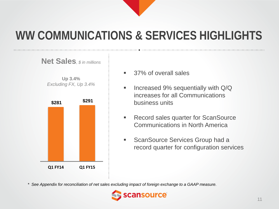### **WW COMMUNICATIONS & SERVICES HIGHLIGHTS**



- 37% of overall sales
- **Increased 9% sequentially with Q/Q** increases for all Communications business units
- **Record sales quarter for ScanSource** Communications in North America
- **ScanSource Services Group had a** record quarter for configuration services

*\* See Appendix for reconciliation of net sales excluding impact of foreign exchange to a GAAP measure.*

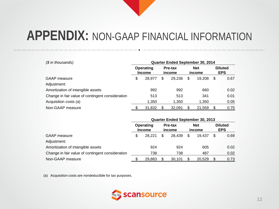| $$$ in thousands)                                | Quarter Ended September 30, 2014  |        |                   |        |    |        |    |      |  |  |  |  |  |  |  |  |  |                      |  |                              |
|--------------------------------------------------|-----------------------------------|--------|-------------------|--------|----|--------|----|------|--|--|--|--|--|--|--|--|--|----------------------|--|------------------------------|
|                                                  | <b>Operating</b><br><b>Income</b> |        | Pre-tax<br>income |        |    |        |    |      |  |  |  |  |  |  |  |  |  | <b>Net</b><br>income |  | <b>Diluted</b><br><b>EPS</b> |
| <b>GAAP</b> measure                              | \$                                | 28,977 | \$                | 29.236 | \$ | 19.208 | \$ | 0.67 |  |  |  |  |  |  |  |  |  |                      |  |                              |
| Adjustment:                                      |                                   |        |                   |        |    |        |    |      |  |  |  |  |  |  |  |  |  |                      |  |                              |
| Amortization of intangible assets                |                                   | 992    |                   | 992    |    | 660    |    | 0.02 |  |  |  |  |  |  |  |  |  |                      |  |                              |
| Change in fair value of contingent consideration |                                   | 513    |                   | 513    |    | 341    |    | 0.01 |  |  |  |  |  |  |  |  |  |                      |  |                              |
| Acquisition costs (a)                            |                                   | 1,350  |                   | 1,350  |    | 1,350  |    | 0.05 |  |  |  |  |  |  |  |  |  |                      |  |                              |
| Non-GAAP measure                                 |                                   | 31,832 |                   | 32.091 | \$ | 21,559 |    | 0.75 |  |  |  |  |  |  |  |  |  |                      |  |                              |

|                                                  | <b>Quarter Ended September 30, 2013</b> |                            |                   |        |                      |        |                              |      |  |
|--------------------------------------------------|-----------------------------------------|----------------------------|-------------------|--------|----------------------|--------|------------------------------|------|--|
|                                                  |                                         | Operating<br><b>Income</b> | Pre-tax<br>income |        | <b>Net</b><br>income |        | <b>Diluted</b><br><b>EPS</b> |      |  |
| <b>GAAP</b> measure                              | \$                                      | 28.221                     | S                 | 28.439 | \$                   | 19.437 | \$                           | 0.69 |  |
| Adjustment:                                      |                                         |                            |                   |        |                      |        |                              |      |  |
| Amortization of intangible assets                |                                         | 924                        |                   | 924    |                      | 605    |                              | 0.02 |  |
| Change in fair value of contingent consideration |                                         | 738                        |                   | 738    |                      | 487    |                              | 0.02 |  |
| Non-GAAP measure                                 |                                         | 29,883                     |                   | 30,101 |                      | 20.529 |                              | 0.73 |  |

(a) Acquisition costs are nondeductible for tax purposes.

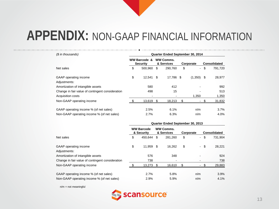| (\$ in thousands)                                | Quarter Ended September 30, 2014 |                                                                              |      |           |           |                     |    |         |
|--------------------------------------------------|----------------------------------|------------------------------------------------------------------------------|------|-----------|-----------|---------------------|----|---------|
|                                                  |                                  | <b>WW Barcode &amp;</b><br><b>WW Comms.</b><br>& Services<br><b>Security</b> |      |           | Corporate | <b>Consolidated</b> |    |         |
| Net sales                                        | \$                               | 500.960                                                                      | \$   | 290.760   | \$        | $\sim$              | \$ | 791,720 |
| GAAP operating income<br>Adjustments:            | \$                               | 12.541                                                                       | - \$ | 17,786 \$ |           | (1,350)             | \$ | 28,977  |
| Amortization of intangible assets                |                                  | 580                                                                          |      | 412       |           |                     |    | 992     |
| Change in fair value of contingent consideration |                                  | 498                                                                          |      | 15        |           |                     |    | 513     |
| Acquisition costs                                |                                  |                                                                              |      |           |           | 1.350               |    | 1,350   |
| Non-GAAP operating income                        |                                  | 13,619 \$                                                                    |      | 18,213    | S         |                     |    | 31,832  |
| GAAP operating income % (of net sales)           |                                  | 2.5%                                                                         |      | 6.1%      |           | n/m                 |    | 3.7%    |
| Non-GAAP operating income % (of net sales)       |                                  | 2.7%                                                                         |      | 6.3%      |           | n/m                 |    | 4.0%    |

|                                                  | Quarter Ended September 30, 2013 |                                 |                                |         |           |        |                     |         |  |
|--------------------------------------------------|----------------------------------|---------------------------------|--------------------------------|---------|-----------|--------|---------------------|---------|--|
|                                                  |                                  | <b>WW Barcode</b><br>& Security | <b>WW Comms.</b><br>& Services |         | Corporate |        | <b>Consolidated</b> |         |  |
| Net sales                                        | \$                               | 450.644                         | \$                             | 281.260 | \$        | $\sim$ | \$                  | 731,904 |  |
| GAAP operating income<br>Adjustments:            | \$                               | 11.959 \$                       |                                | 16,262  | \$        | $\sim$ | -\$                 | 28,221  |  |
| Amortization of intangible assets                |                                  | 576                             |                                | 348     |           |        |                     | 924     |  |
| Change in fair value of contingent consideration |                                  | 738                             |                                |         |           |        |                     | 738     |  |
| Non-GAAP operating income                        |                                  | 13,273                          |                                | 16,610  | S         |        |                     | 29,883  |  |
| GAAP operating income % (of net sales)           |                                  | 2.7%                            |                                | 5.8%    |           | n/m    |                     | 3.9%    |  |
| Non-GAAP operating income % (of net sales)       |                                  | 2.9%                            |                                | 5.9%    |           | n/m    |                     | 4.1%    |  |

n/m = not meaningful

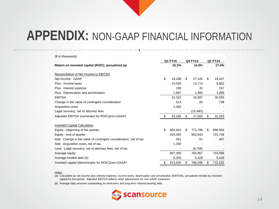| (\$ in thousands)                                                 |         |         |                |           |                |         |
|-------------------------------------------------------------------|---------|---------|----------------|-----------|----------------|---------|
|                                                                   | Q1 FY15 |         | <b>Q4 FY14</b> |           | <b>Q1 FY14</b> |         |
| Return on invested capital (ROIC), annualized (a)                 |         | 16.2%   |                | 14.0%     |                | 17.4%   |
|                                                                   |         |         |                |           |                |         |
| Reconciliation of Net Income to EBITDA                            |         |         |                |           |                |         |
| Net income - GAAP                                                 | \$      | 19,208  | \$             | 27,105    | \$             | 19,437  |
| Plus: Income taxes                                                |         | 10,028  |                | 13,774    |                | 9,002   |
| Plus: Interest expense                                            |         | 190     |                | 33        |                | 247     |
| Plus: Depreciation and amortization                               |         | 1,897   |                | 1,985     |                | 1,869   |
| <b>EBITDA</b>                                                     |         | 31,323  |                | 42,897    |                | 30,555  |
| Change in fair value of contingent consideration                  |         | 513     |                | 93        |                | 738     |
| Acquisition costs                                                 |         | 1,350   |                |           |                |         |
| Legal recovery, net of attorney fees                              |         |         |                | (15, 490) |                |         |
| Adjusted EBITDA (numerator for ROIC)(non-GAAP)                    | \$      | 33,186  | \$             | 27,500    | \$             | 31,293  |
|                                                                   |         |         |                |           |                |         |
| <b>Invested Capital Calculation</b>                               |         |         |                |           |                |         |
| Equity - beginning of the quarter                                 | \$      | 802.643 | \$             | 772.786   | \$             | 695,956 |
| Equity - end of quarter                                           |         | 810,265 |                | 802,643   |                | 723,748 |
| Add: Change in fair value of contingent consideration, net of tax |         | 341     |                | 61        |                | 487     |
| Add: Acquisition costs, net of tax                                |         | 1,350   |                |           |                |         |
| Less: Legal recovery, net of attorney fees, net of tax            |         |         |                | (9,756)   |                |         |
| Average equity                                                    |         | 807,300 |                | 782,867   |                | 710,096 |
| Average funded debt (b)                                           |         | 6,205   |                | 5,429     |                | 5,429   |
| Invested capital (denominator for ROIC)(non-GAAP)                 | \$      | 813,505 | \$             | 788,296   | \$             | 715,525 |

#### Notes:

(a) Calculated as net income plus interest expense, income taxes, depreciation and amortization (EBITDA), annualized divided by invested capital for the period. Adjusted EBITDA reflects other adjustments for non-GAAP measures.

(b) Average daily amounts outstanding on short-term and long-term interest-bearing debt.